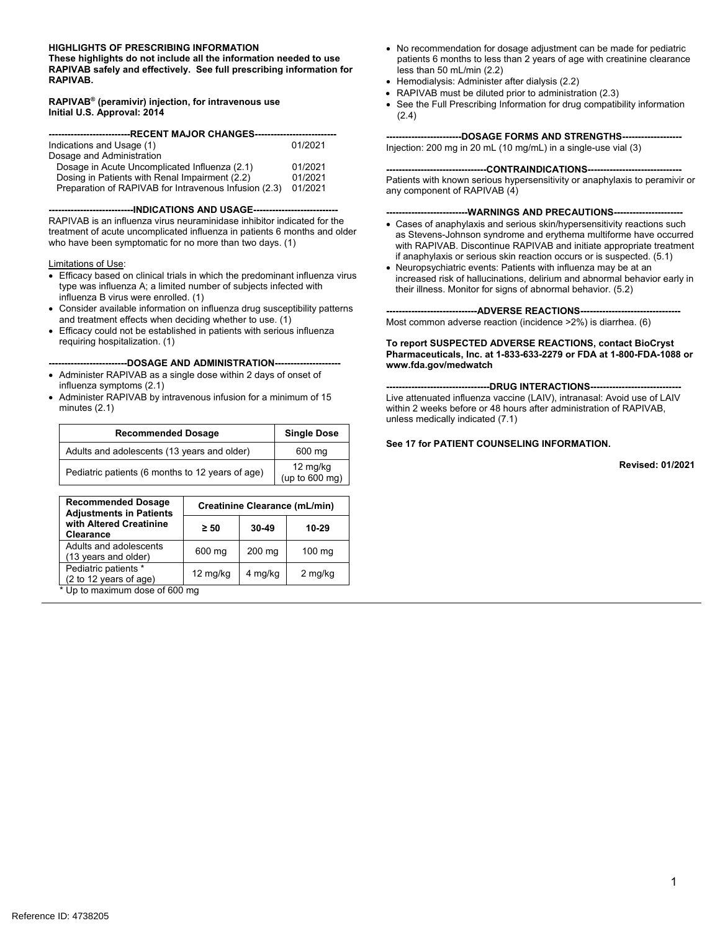#### **HIGHLIGHTS OF PRESCRIBING INFORMATION**

**These highlights do not include all the information needed to use RAPIVAB safely and effectively. See full prescribing information for RAPIVAB.** 

#### **RAPIVAB® (peramivir) injection, for intravenous use Initial U.S. Approval: 2014**

| ---------------------------RECENT MAJOR CHANGES--------------------- |         |  |  |  |
|----------------------------------------------------------------------|---------|--|--|--|
|                                                                      |         |  |  |  |
| Indications and Usage (1)                                            | 01/2021 |  |  |  |
| Dosage and Administration                                            |         |  |  |  |
| Dosage in Acute Uncomplicated Influenza (2.1)                        | 01/2021 |  |  |  |
| Dosing in Patients with Renal Impairment (2.2)                       | 01/2021 |  |  |  |
| Preparation of RAPIVAB for Intravenous Infusion (2.3)                | 01/2021 |  |  |  |

-----INDICATIONS AND USAGE----

RAPIVAB is an influenza virus neuraminidase inhibitor indicated for the treatment of acute uncomplicated influenza in patients 6 months and older who have been symptomatic for no more than two days. (1)

#### Limitations of Use:

- Efficacy based on clinical trials in which the predominant influenza virus type was influenza A; a limited number of subjects infected with influenza B virus were enrolled. (1)
- Consider available information on influenza drug susceptibility patterns and treatment effects when deciding whether to use. (1)
- Efficacy could not be established in patients with serious influenza requiring hospitalization. (1)

#### **-------------------------DOSAGE AND ADMINISTRATION---------------------**

- Administer RAPIVAB as a single dose within 2 days of onset of influenza symptoms (2.1)
- Administer RAPIVAB by intravenous infusion for a minimum of 15 minutes (2.1)

| <b>Recommended Dosage</b>                        | <b>Single Dose</b>         |
|--------------------------------------------------|----------------------------|
| Adults and adolescents (13 years and older)      | 600 mg                     |
| Pediatric patients (6 months to 12 years of age) | 12 mg/kg<br>(up to 600 mg) |

| <b>Recommended Dosage</b><br><b>Adjustments in Patients</b> | Creatinine Clearance (mL/min) |           |                  |
|-------------------------------------------------------------|-------------------------------|-----------|------------------|
| with Altered Creatinine<br><b>Clearance</b>                 | $\geq 50$                     | $30 - 49$ | 10-29            |
| Adults and adolescents<br>(13 years and older)              | 600 mg                        | $200$ mg  | $100 \text{ ma}$ |
| Pediatric patients *<br>(2 to 12 years of age)              | $12 \text{ mg/kg}$            | 4 mg/kg   | 2 mg/kg          |

\* Up to maximum dose of 600 mg

- No recommendation for dosage adjustment can be made for pediatric patients 6 months to less than 2 years of age with creatinine clearance less than 50 mL/min (2.2)
- Hemodialysis: Administer after dialysis (2.2)
- RAPIVAB must be diluted prior to administration (2.3)
- See the Full Prescribing Information for drug compatibility information (2.4)

### --DOSAGE FORMS AND STRENGTHS--

Injection: 200 mg in 20 mL (10 mg/mL) in a single-use vial (3)

#### ----CONTRAINDICATIONS--

Patients with known serious hypersensitivity or anaphylaxis to peramivir or any component of RAPIVAB (4)

#### ----WARNINGS AND PRECAUTIONS----

- Cases of anaphylaxis and serious skin/hypersensitivity reactions such as Stevens-Johnson syndrome and erythema multiforme have occurred with RAPIVAB. Discontinue RAPIVAB and initiate appropriate treatment if anaphylaxis or serious skin reaction occurs or is suspected. (5.1)
- Neuropsychiatric events: Patients with influenza may be at an increased risk of hallucinations, delirium and abnormal behavior early in their illness. Monitor for signs of abnormal behavior. (5.2)

#### **----ADVERSE REACTIONS--**

Most common adverse reaction (incidence >2%) is diarrhea. (6)

#### **To report SUSPECTED ADVERSE REACTIONS, contact BioCryst Pharmaceuticals, Inc. at 1-833-633-2279 or FDA at 1-800-FDA-1088 or www.fda.gov/medwatch**

----DRUG INTERACTIONS----Live attenuated influenza vaccine (LAIV), intranasal: Avoid use of LAIV within 2 weeks before or 48 hours after administration of RAPIVAB, unless medically indicated (7.1)

#### **See 17 for PATIENT COUNSELING INFORMATION.**

**Revised: 01/2021**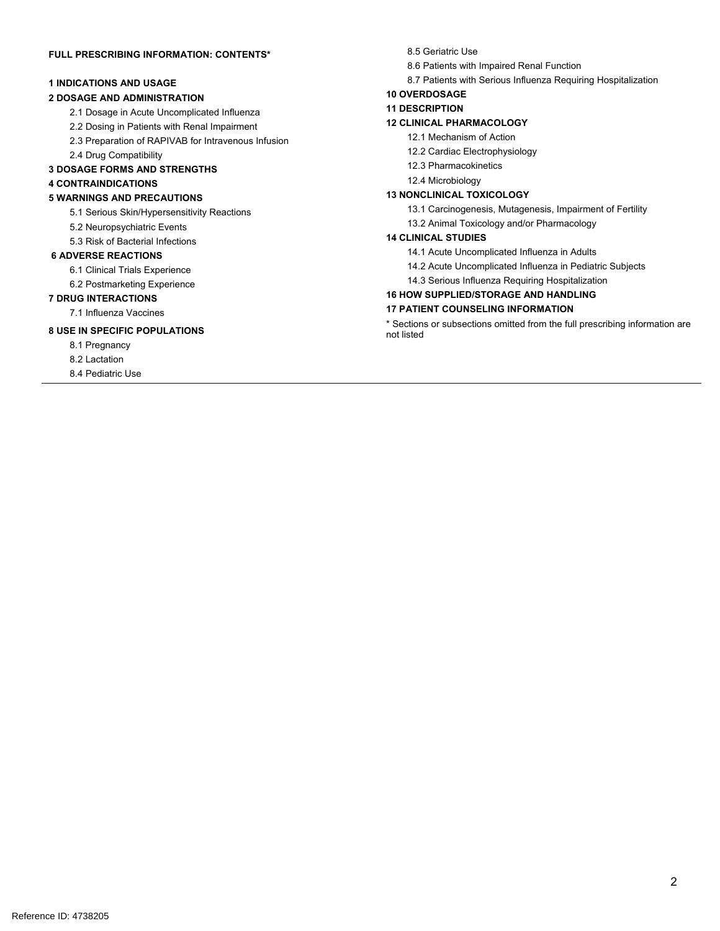### **FULL PRESCRIBING INFORMATION: CONTENTS\***

### **1 INDICATIONS AND USAGE**

### **2 DOSAGE AND ADMINISTRATION**

- 2.1 Dosage in Acute Uncomplicated Influenza
- 2.2 Dosing in Patients with Renal Impairment
- 2.3 Preparation of RAPIVAB for Intravenous Infusion
- 2.4 Drug Compatibility

### **3 DOSAGE FORMS AND STRENGTHS**

### **4 CONTRAINDICATIONS**

#### **5 WARNINGS AND PRECAUTIONS**

- 5.1 Serious Skin/Hypersensitivity Reactions
- 5.2 Neuropsychiatric Events
- 5.3 Risk of Bacterial Infections

### **6 ADVERSE REACTIONS**

- 6.1 Clinical Trials Experience
- 6.2 Postmarketing Experience

### **7 DRUG INTERACTIONS**

7.1 Influenza Vaccines

### **8 USE IN SPECIFIC POPULATIONS**

- 8.1 Pregnancy
- 8.2 Lactation

8.4 Pediatric Use

#### 8.5 Geriatric Use

- 8.6 Patients with Impaired Renal Function
- 8.7 Patients with Serious Influenza Requiring Hospitalization

### **10 OVERDOSAGE**

#### **11 DESCRIPTION**

### **12 CLINICAL PHARMACOLOGY**

- 12.1 Mechanism of Action
- 12.2 Cardiac Electrophysiology
- 12.3 Pharmacokinetics
- 12.4 Microbiology

### **13 NONCLINICAL TOXICOLOGY**

- 13.1 Carcinogenesis, Mutagenesis, Impairment of Fertility
- 13.2 Animal Toxicology and/or Pharmacology

### **14 CLINICAL STUDIES**

- 14.1 Acute Uncomplicated Influenza in Adults
- 14.2 Acute Uncomplicated Influenza in Pediatric Subjects
- 14.3 Serious Influenza Requiring Hospitalization

### **16 HOW SUPPLIED/STORAGE AND HANDLING**

### **17 PATIENT COUNSELING INFORMATION**

\* Sections or subsections omitted from the full prescribing information are not listed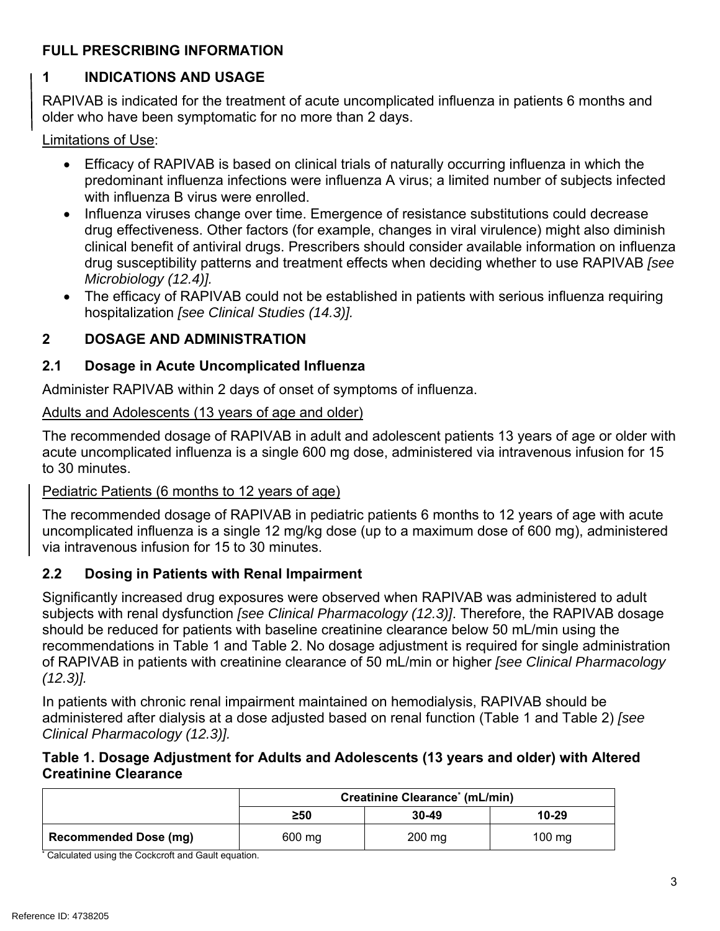# **FULL PRESCRIBING INFORMATION**

# **1 INDICATIONS AND USAGE**

RAPIVAB is indicated for the treatment of acute uncomplicated influenza in patients 6 months and older who have been symptomatic for no more than 2 days.

Limitations of Use:

- Efficacy of RAPIVAB is based on clinical trials of naturally occurring influenza in which the predominant influenza infections were influenza A virus; a limited number of subjects infected with influenza B virus were enrolled.
- Influenza viruses change over time. Emergence of resistance substitutions could decrease drug effectiveness. Other factors (for example, changes in viral virulence) might also diminish clinical benefit of antiviral drugs. Prescribers should consider available information on influenza drug susceptibility patterns and treatment effects when deciding whether to use RAPIVAB *[see Microbiology (12.4)].*
- The efficacy of RAPIVAB could not be established in patients with serious influenza requiring hospitalization *[see Clinical Studies (14.3)].*

# **2 DOSAGE AND ADMINISTRATION**

# **2.1 Dosage in Acute Uncomplicated Influenza**

Administer RAPIVAB within 2 days of onset of symptoms of influenza.

# Adults and Adolescents (13 years of age and older)

The recommended dosage of RAPIVAB in adult and adolescent patients 13 years of age or older with acute uncomplicated influenza is a single 600 mg dose, administered via intravenous infusion for 15 to 30 minutes.

# Pediatric Patients (6 months to 12 years of age)

The recommended dosage of RAPIVAB in pediatric patients 6 months to 12 years of age with acute uncomplicated influenza is a single 12 mg/kg dose (up to a maximum dose of 600 mg), administered via intravenous infusion for 15 to 30 minutes.

# **2.2 Dosing in Patients with Renal Impairment**

Significantly increased drug exposures were observed when RAPIVAB was administered to adult subjects with renal dysfunction *[see Clinical Pharmacology (12.3)]*. Therefore, the RAPIVAB dosage should be reduced for patients with baseline creatinine clearance below 50 mL/min using the recommendations in Table 1 and Table 2. No dosage adjustment is required for single administration of RAPIVAB in patients with creatinine clearance of 50 mL/min or higher *[see Clinical Pharmacology (12.3)].* 

In patients with chronic renal impairment maintained on hemodialysis, RAPIVAB should be administered after dialysis at a dose adjusted based on renal function (Table 1 and Table 2) *[see Clinical Pharmacology (12.3)].* 

## **Table 1. Dosage Adjustment for Adults and Adolescents (13 years and older) with Altered Creatinine Clearance**

|                              | Creatinine Clearance <sup>*</sup> (mL/min) |           |           |
|------------------------------|--------------------------------------------|-----------|-----------|
|                              | ≥50                                        | $30 - 49$ | $10 - 29$ |
| <b>Recommended Dose (mg)</b> | 600 mg                                     | $200$ mg  | $100$ mg  |

**\*** Calculated using the Cockcroft and Gault equation.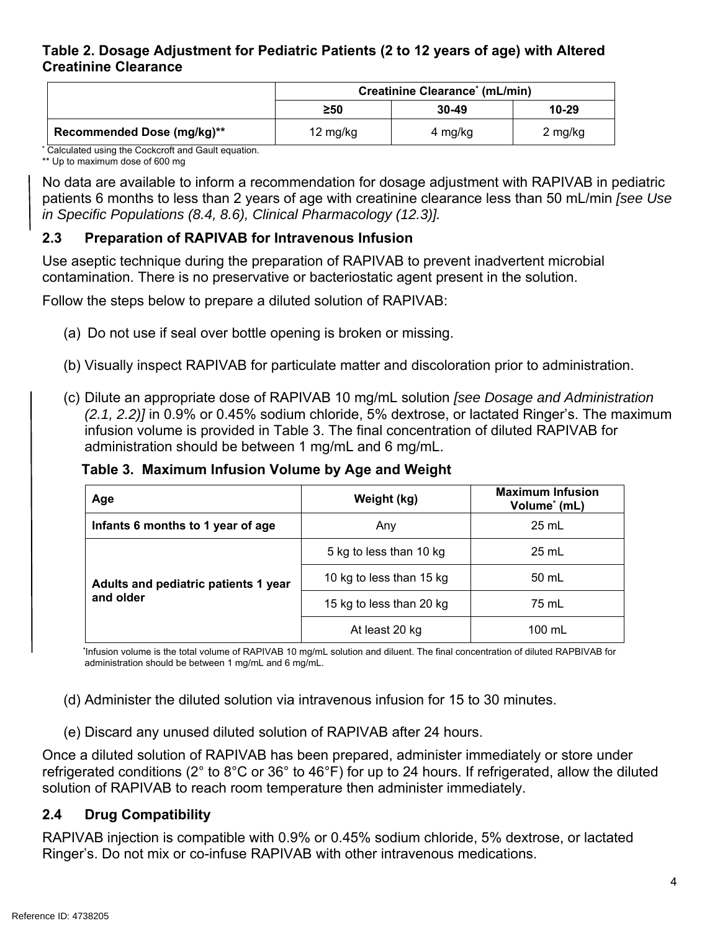## **Table 2. Dosage Adjustment for Pediatric Patients (2 to 12 years of age) with Altered Creatinine Clearance**

|                            | Creatinine Clearance <sup>*</sup> (mL/min) |         |         |  |
|----------------------------|--------------------------------------------|---------|---------|--|
|                            | 10-29<br>$30 - 49$<br>$\geq 50$            |         |         |  |
| Recommended Dose (mg/kg)** | 12 mg/kg                                   | 4 mg/kg | 2 mg/kg |  |

**\*** Calculated using the Cockcroft and Gault equation.

\*\* Up to maximum dose of 600 mg

No data are available to inform a recommendation for dosage adjustment with RAPIVAB in pediatric patients 6 months to less than 2 years of age with creatinine clearance less than 50 mL/min *[see Use in Specific Populations (8.4, 8.6), Clinical Pharmacology (12.3)].*

# **2.3 Preparation of RAPIVAB for Intravenous Infusion**

Use aseptic technique during the preparation of RAPIVAB to prevent inadvertent microbial contamination. There is no preservative or bacteriostatic agent present in the solution.

Follow the steps below to prepare a diluted solution of RAPIVAB:

- (a) Do not use if seal over bottle opening is broken or missing.
- (b) Visually inspect RAPIVAB for particulate matter and discoloration prior to administration.
- (c) Dilute an appropriate dose of RAPIVAB 10 mg/mL solution *[see Dosage and Administration (2.1, 2.2)]* in 0.9% or 0.45% sodium chloride, 5% dextrose, or lactated Ringer's. The maximum infusion volume is provided in Table 3. The final concentration of diluted RAPIVAB for administration should be between 1 mg/mL and 6 mg/mL.

## **Table 3. Maximum Infusion Volume by Age and Weight**

| Age                                               | Weight (kg)              | <b>Maximum Infusion</b><br>Volume* (mL) |
|---------------------------------------------------|--------------------------|-----------------------------------------|
| Infants 6 months to 1 year of age                 | Any                      | $25 \text{ mL}$                         |
| Adults and pediatric patients 1 year<br>and older | 5 kg to less than 10 kg  | $25$ mL                                 |
|                                                   | 10 kg to less than 15 kg | 50 mL                                   |
|                                                   | 15 kg to less than 20 kg | 75 mL                                   |
|                                                   | At least 20 kg           | 100 mL                                  |

 **\***Infusion volume is the total volume of RAPIVAB 10 mg/mL solution and diluent. The final concentration of diluted RAPBIVAB for administration should be between 1 mg/mL and 6 mg/mL.

(d) Administer the diluted solution via intravenous infusion for 15 to 30 minutes.

(e) Discard any unused diluted solution of RAPIVAB after 24 hours.

Once a diluted solution of RAPIVAB has been prepared, administer immediately or store under refrigerated conditions (2° to 8°C or 36° to 46°F) for up to 24 hours. If refrigerated, allow the diluted solution of RAPIVAB to reach room temperature then administer immediately.

# **2.4 Drug Compatibility**

RAPIVAB injection is compatible with 0.9% or 0.45% sodium chloride, 5% dextrose, or lactated Ringer's. Do not mix or co-infuse RAPIVAB with other intravenous medications.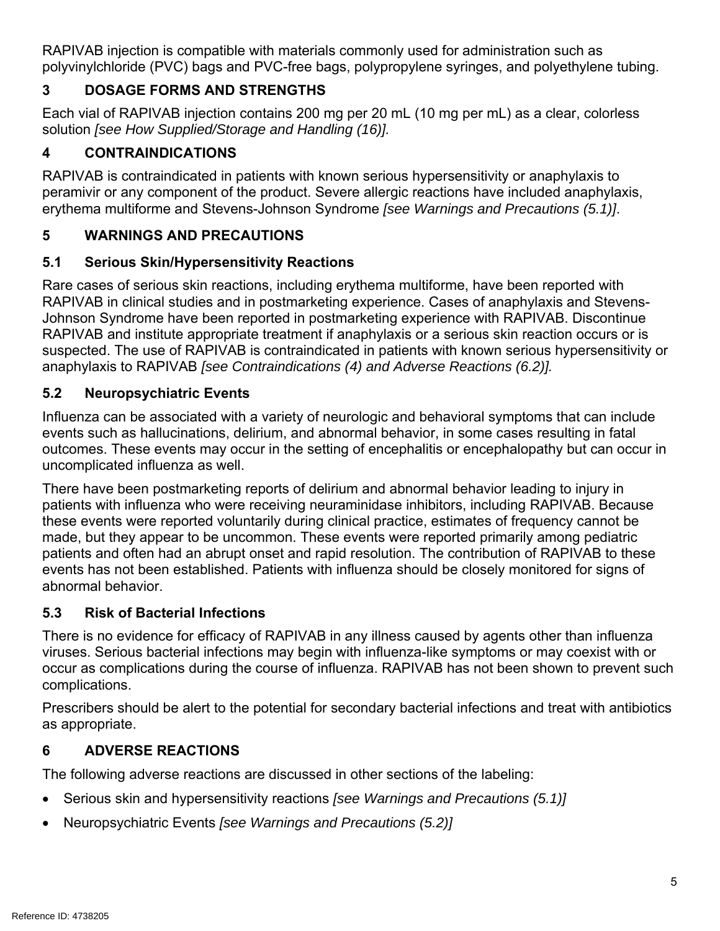RAPIVAB injection is compatible with materials commonly used for administration such as polyvinylchloride (PVC) bags and PVC-free bags, polypropylene syringes, and polyethylene tubing.

# **3 DOSAGE FORMS AND STRENGTHS**

Each vial of RAPIVAB injection contains 200 mg per 20 mL (10 mg per mL) as a clear, colorless solution *[see How Supplied/Storage and Handling (16)].* 

# **4 CONTRAINDICATIONS**

RAPIVAB is contraindicated in patients with known serious hypersensitivity or anaphylaxis to peramivir or any component of the product. Severe allergic reactions have included anaphylaxis, erythema multiforme and Stevens-Johnson Syndrome *[see Warnings and Precautions (5.1)]*.

# **5 WARNINGS AND PRECAUTIONS**

# **5.1 Serious Skin/Hypersensitivity Reactions**

Rare cases of serious skin reactions, including erythema multiforme, have been reported with RAPIVAB in clinical studies and in postmarketing experience. Cases of anaphylaxis and Stevens-Johnson Syndrome have been reported in postmarketing experience with RAPIVAB. Discontinue RAPIVAB and institute appropriate treatment if anaphylaxis or a serious skin reaction occurs or is suspected. The use of RAPIVAB is contraindicated in patients with known serious hypersensitivity or anaphylaxis to RAPIVAB *[see Contraindications (4) and Adverse Reactions (6.2)].* 

# **5.2 Neuropsychiatric Events**

Influenza can be associated with a variety of neurologic and behavioral symptoms that can include events such as hallucinations, delirium, and abnormal behavior, in some cases resulting in fatal outcomes. These events may occur in the setting of encephalitis or encephalopathy but can occur in uncomplicated influenza as well.

There have been postmarketing reports of delirium and abnormal behavior leading to injury in patients with influenza who were receiving neuraminidase inhibitors, including RAPIVAB. Because these events were reported voluntarily during clinical practice, estimates of frequency cannot be made, but they appear to be uncommon. These events were reported primarily among pediatric patients and often had an abrupt onset and rapid resolution. The contribution of RAPIVAB to these events has not been established. Patients with influenza should be closely monitored for signs of abnormal behavior.

# **5.3 Risk of Bacterial Infections**

There is no evidence for efficacy of RAPIVAB in any illness caused by agents other than influenza viruses. Serious bacterial infections may begin with influenza-like symptoms or may coexist with or occur as complications during the course of influenza. RAPIVAB has not been shown to prevent such complications.

Prescribers should be alert to the potential for secondary bacterial infections and treat with antibiotics as appropriate.

# **6 ADVERSE REACTIONS**

The following adverse reactions are discussed in other sections of the labeling:

- Serious skin and hypersensitivity reactions *[see Warnings and Precautions (5.1)]*
- Neuropsychiatric Events *[see Warnings and Precautions (5.2)]*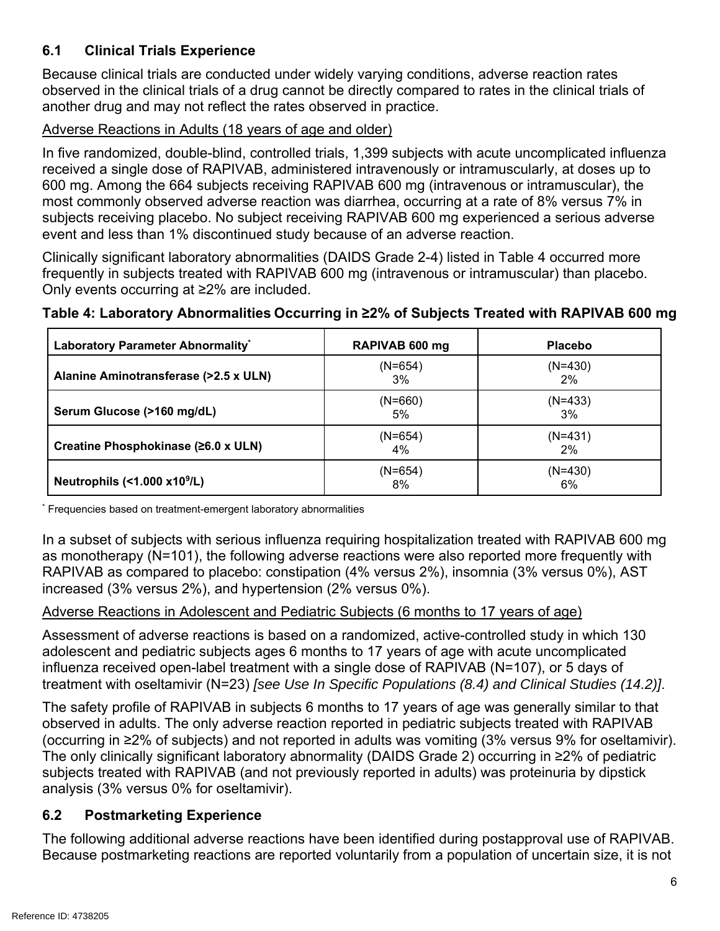# **6.1 Clinical Trials Experience**

Because clinical trials are conducted under widely varying conditions, adverse reaction rates observed in the clinical trials of a drug cannot be directly compared to rates in the clinical trials of another drug and may not reflect the rates observed in practice.

# Adverse Reactions in Adults (18 years of age and older)

In five randomized, double-blind, controlled trials, 1,399 subjects with acute uncomplicated influenza received a single dose of RAPIVAB, administered intravenously or intramuscularly, at doses up to 600 mg. Among the 664 subjects receiving RAPIVAB 600 mg (intravenous or intramuscular), the most commonly observed adverse reaction was diarrhea, occurring at a rate of 8% versus 7% in subjects receiving placebo. No subject receiving RAPIVAB 600 mg experienced a serious adverse event and less than 1% discontinued study because of an adverse reaction.

Clinically significant laboratory abnormalities (DAIDS Grade 2-4) listed in Table 4 occurred more frequently in subjects treated with RAPIVAB 600 mg (intravenous or intramuscular) than placebo. Only events occurring at ≥2% are included.

# **Table 4: Laboratory Abnormalities Occurring in ≥2% of Subjects Treated with RAPIVAB 600 mg**

| Laboratory Parameter Abnormality*        | RAPIVAB 600 mg  | <b>Placebo</b>  |
|------------------------------------------|-----------------|-----------------|
| Alanine Aminotransferase (>2.5 x ULN)    | $(N=654)$<br>3% | $(N=430)$<br>2% |
| Serum Glucose (>160 mg/dL)               | $(N=660)$<br>5% | $(N=433)$<br>3% |
| Creatine Phosphokinase (≥6.0 x ULN)      | (N=654)<br>4%   | $(N=431)$<br>2% |
| Neutrophils (<1.000 x10 <sup>9</sup> /L) | $(N=654)$<br>8% | $(N=430)$<br>6% |

\* Frequencies based on treatment-emergent laboratory abnormalities

In a subset of subjects with serious influenza requiring hospitalization treated with RAPIVAB 600 mg as monotherapy (N=101), the following adverse reactions were also reported more frequently with RAPIVAB as compared to placebo: constipation (4% versus 2%), insomnia (3% versus 0%), AST increased (3% versus 2%), and hypertension (2% versus 0%).

### Adverse Reactions in Adolescent and Pediatric Subjects (6 months to 17 years of age)

Assessment of adverse reactions is based on a randomized, active-controlled study in which 130 adolescent and pediatric subjects ages 6 months to 17 years of age with acute uncomplicated influenza received open-label treatment with a single dose of RAPIVAB (N=107), or 5 days of treatment with oseltamivir (N=23) *[see Use In Specific Populations (8.4) and Clinical Studies (14.2)]*.

The safety profile of RAPIVAB in subjects 6 months to 17 years of age was generally similar to that observed in adults. The only adverse reaction reported in pediatric subjects treated with RAPIVAB (occurring in ≥2% of subjects) and not reported in adults was vomiting (3% versus 9% for oseltamivir). The only clinically significant laboratory abnormality (DAIDS Grade 2) occurring in ≥2% of pediatric subjects treated with RAPIVAB (and not previously reported in adults) was proteinuria by dipstick analysis (3% versus 0% for oseltamivir).

# **6.2 Postmarketing Experience**

The following additional adverse reactions have been identified during postapproval use of RAPIVAB. Because postmarketing reactions are reported voluntarily from a population of uncertain size, it is not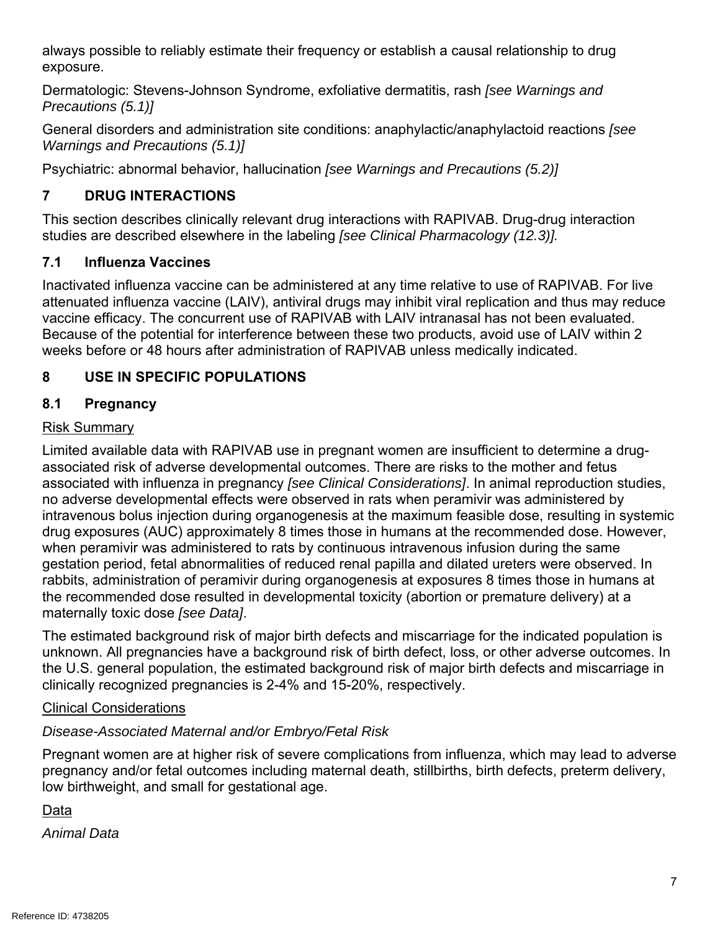always possible to reliably estimate their frequency or establish a causal relationship to drug exposure.

Dermatologic: Stevens-Johnson Syndrome, exfoliative dermatitis, rash *[see Warnings and Precautions (5.1)]*

General disorders and administration site conditions: anaphylactic/anaphylactoid reactions *[see Warnings and Precautions (5.1)]* 

Psychiatric: abnormal behavior, hallucination *[see Warnings and Precautions (5.2)]*

# **7 DRUG INTERACTIONS**

This section describes clinically relevant drug interactions with RAPIVAB. Drug-drug interaction studies are described elsewhere in the labeling *[see Clinical Pharmacology (12.3)].* 

# **7.1 Influenza Vaccines**

Inactivated influenza vaccine can be administered at any time relative to use of RAPIVAB. For live attenuated influenza vaccine (LAIV), antiviral drugs may inhibit viral replication and thus may reduce vaccine efficacy. The concurrent use of RAPIVAB with LAIV intranasal has not been evaluated. Because of the potential for interference between these two products, avoid use of LAIV within 2 weeks before or 48 hours after administration of RAPIVAB unless medically indicated.

# **8 USE IN SPECIFIC POPULATIONS**

# **8.1 Pregnancy**

# Risk Summary

Limited available data with RAPIVAB use in pregnant women are insufficient to determine a drugassociated risk of adverse developmental outcomes. There are risks to the mother and fetus associated with influenza in pregnancy *[see Clinical Considerations]*. In animal reproduction studies, no adverse developmental effects were observed in rats when peramivir was administered by intravenous bolus injection during organogenesis at the maximum feasible dose, resulting in systemic drug exposures (AUC) approximately 8 times those in humans at the recommended dose. However, when peramivir was administered to rats by continuous intravenous infusion during the same gestation period, fetal abnormalities of reduced renal papilla and dilated ureters were observed. In rabbits, administration of peramivir during organogenesis at exposures 8 times those in humans at the recommended dose resulted in developmental toxicity (abortion or premature delivery) at a maternally toxic dose *[see Data]*.

The estimated background risk of major birth defects and miscarriage for the indicated population is unknown. All pregnancies have a background risk of birth defect, loss, or other adverse outcomes. In the U.S. general population, the estimated background risk of major birth defects and miscarriage in clinically recognized pregnancies is 2-4% and 15-20%, respectively.

# Clinical Considerations

# *Disease-Associated Maternal and/or Embryo/Fetal Risk*

Pregnant women are at higher risk of severe complications from influenza, which may lead to adverse pregnancy and/or fetal outcomes including maternal death, stillbirths, birth defects, preterm delivery, low birthweight, and small for gestational age.

Data

*Animal Data*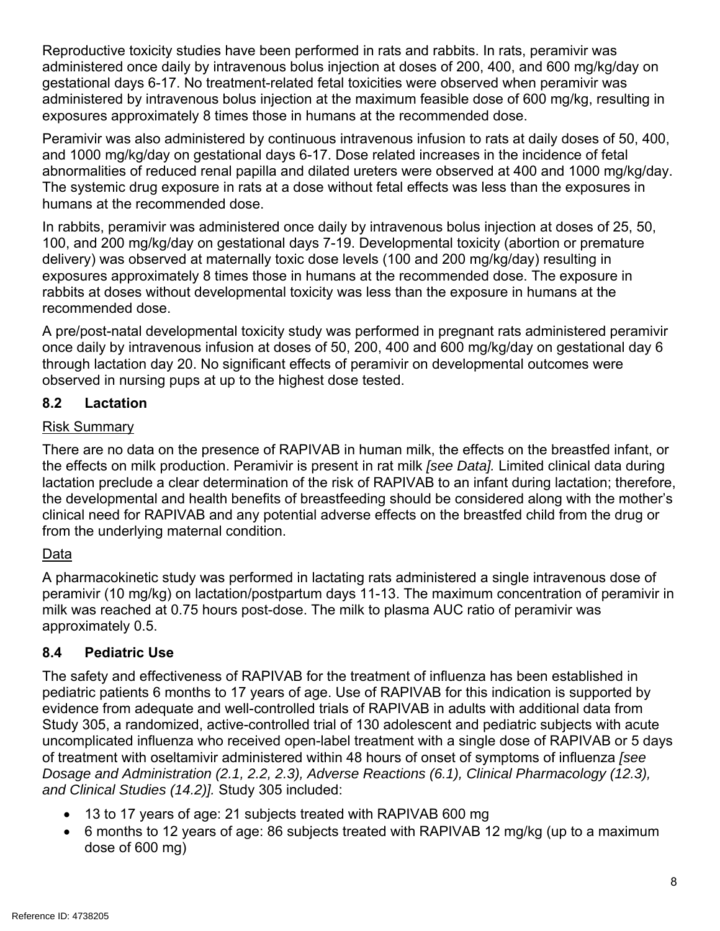Reproductive toxicity studies have been performed in rats and rabbits. In rats, peramivir was administered once daily by intravenous bolus injection at doses of 200, 400, and 600 mg/kg/day on gestational days 6-17. No treatment-related fetal toxicities were observed when peramivir was administered by intravenous bolus injection at the maximum feasible dose of 600 mg/kg, resulting in exposures approximately 8 times those in humans at the recommended dose.

Peramivir was also administered by continuous intravenous infusion to rats at daily doses of 50, 400, and 1000 mg/kg/day on gestational days 6-17. Dose related increases in the incidence of fetal abnormalities of reduced renal papilla and dilated ureters were observed at 400 and 1000 mg/kg/day. The systemic drug exposure in rats at a dose without fetal effects was less than the exposures in humans at the recommended dose.

In rabbits, peramivir was administered once daily by intravenous bolus injection at doses of 25, 50, 100, and 200 mg/kg/day on gestational days 7-19. Developmental toxicity (abortion or premature delivery) was observed at maternally toxic dose levels (100 and 200 mg/kg/day) resulting in exposures approximately 8 times those in humans at the recommended dose. The exposure in rabbits at doses without developmental toxicity was less than the exposure in humans at the recommended dose.

A pre/post-natal developmental toxicity study was performed in pregnant rats administered peramivir once daily by intravenous infusion at doses of 50, 200, 400 and 600 mg/kg/day on gestational day 6 through lactation day 20. No significant effects of peramivir on developmental outcomes were observed in nursing pups at up to the highest dose tested.

# **8.2 Lactation**

### Risk Summary

There are no data on the presence of RAPIVAB in human milk, the effects on the breastfed infant, or the effects on milk production. Peramivir is present in rat milk *[see Data].* Limited clinical data during lactation preclude a clear determination of the risk of RAPIVAB to an infant during lactation; therefore, the developmental and health benefits of breastfeeding should be considered along with the mother's clinical need for RAPIVAB and any potential adverse effects on the breastfed child from the drug or from the underlying maternal condition.

# Data

A pharmacokinetic study was performed in lactating rats administered a single intravenous dose of peramivir (10 mg/kg) on lactation/postpartum days 11-13. The maximum concentration of peramivir in milk was reached at 0.75 hours post-dose. The milk to plasma AUC ratio of peramivir was approximately 0.5.

# **8.4 Pediatric Use**

The safety and effectiveness of RAPIVAB for the treatment of influenza has been established in pediatric patients 6 months to 17 years of age. Use of RAPIVAB for this indication is supported by evidence from adequate and well-controlled trials of RAPIVAB in adults with additional data from Study 305, a randomized, active-controlled trial of 130 adolescent and pediatric subjects with acute uncomplicated influenza who received open-label treatment with a single dose of RAPIVAB or 5 days of treatment with oseltamivir administered within 48 hours of onset of symptoms of influenza *[see Dosage and Administration (2.1, 2.2, 2.3), Adverse Reactions (6.1), Clinical Pharmacology (12.3), and Clinical Studies (14.2)].* Study 305 included:

- 13 to 17 years of age: 21 subjects treated with RAPIVAB 600 mg
- 6 months to 12 years of age: 86 subjects treated with RAPIVAB 12 mg/kg (up to a maximum dose of 600 mg)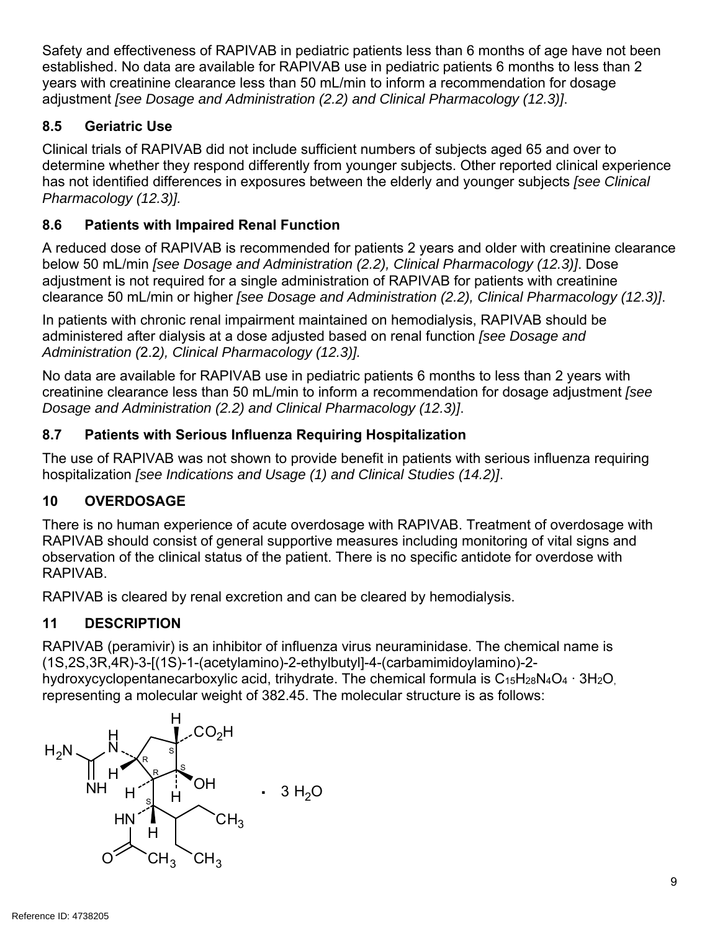Safety and effectiveness of RAPIVAB in pediatric patients less than 6 months of age have not been established. No data are available for RAPIVAB use in pediatric patients 6 months to less than 2 years with creatinine clearance less than 50 mL/min to inform a recommendation for dosage adjustment *[see Dosage and Administration (2.2) and Clinical Pharmacology (12.3)]*.

# **8.5 Geriatric Use**

Clinical trials of RAPIVAB did not include sufficient numbers of subjects aged 65 and over to determine whether they respond differently from younger subjects. Other reported clinical experience has not identified differences in exposures between the elderly and younger subjects *[see Clinical Pharmacology (12.3)].* 

# **8.6 Patients with Impaired Renal Function**

A reduced dose of RAPIVAB is recommended for patients 2 years and older with creatinine clearance below 50 mL/min *[see Dosage and Administration (2.2), Clinical Pharmacology (12.3)]*. Dose adjustment is not required for a single administration of RAPIVAB for patients with creatinine clearance 50 mL/min or higher *[see Dosage and Administration (2.2), Clinical Pharmacology (12.3)]*.

In patients with chronic renal impairment maintained on hemodialysis, RAPIVAB should be administered after dialysis at a dose adjusted based on renal function *[see Dosage and Administration (*2.2*), Clinical Pharmacology (12.3)].*

No data are available for RAPIVAB use in pediatric patients 6 months to less than 2 years with creatinine clearance less than 50 mL/min to inform a recommendation for dosage adjustment *[see Dosage and Administration (2.2) and Clinical Pharmacology (12.3)]*.

# **8.7 Patients with Serious Influenza Requiring Hospitalization**

The use of RAPIVAB was not shown to provide benefit in patients with serious influenza requiring hospitalization *[see Indications and Usage (1) and Clinical Studies (14.2)]*.

# **10 OVERDOSAGE**

There is no human experience of acute overdosage with RAPIVAB. Treatment of overdosage with RAPIVAB should consist of general supportive measures including monitoring of vital signs and observation of the clinical status of the patient. There is no specific antidote for overdose with RAPIVAB.

RAPIVAB is cleared by renal excretion and can be cleared by hemodialysis.

# **11 DESCRIPTION**

RAPIVAB (peramivir) is an inhibitor of influenza virus neuraminidase. The chemical name is (1S,2S,3R,4R)-3-[(1S)-1-(acetylamino)-2-ethylbutyl]-4-(carbamimidoylamino)-2 hydroxycyclopentanecarboxylic acid, trihydrate. The chemical formula is C<sub>15</sub>H<sub>28</sub>N<sub>4</sub>O<sub>4</sub> ⋅ 3H<sub>2</sub>O, representing a molecular weight of 382.45. The molecular structure is as follows:

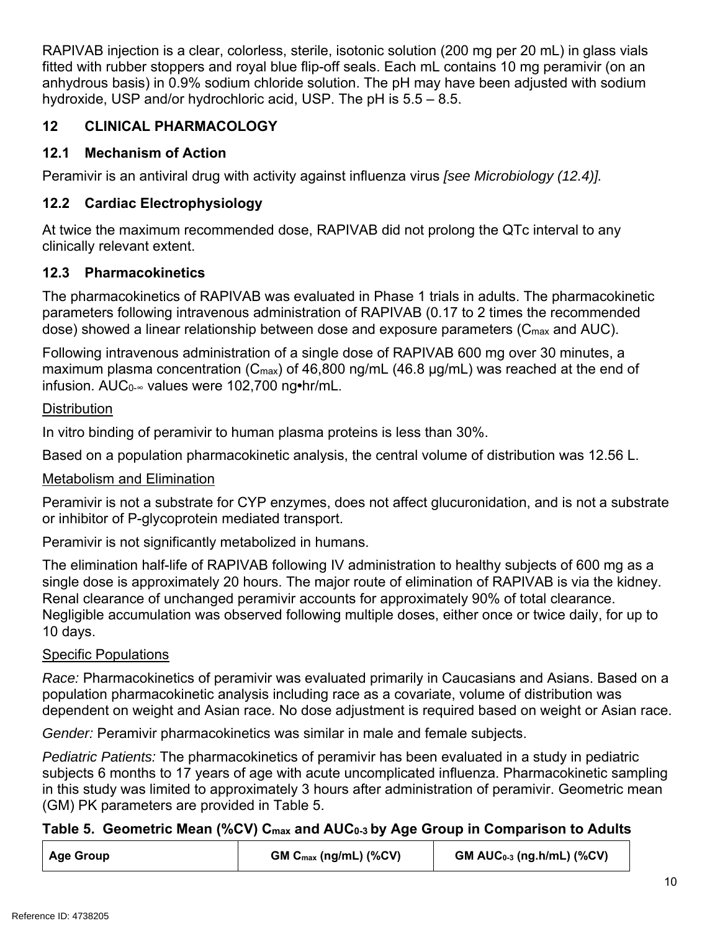RAPIVAB injection is a clear, colorless, sterile, isotonic solution (200 mg per 20 mL) in glass vials fitted with rubber stoppers and royal blue flip-off seals. Each mL contains 10 mg peramivir (on an anhydrous basis) in 0.9% sodium chloride solution. The pH may have been adjusted with sodium hydroxide, USP and/or hydrochloric acid, USP. The pH is 5.5 – 8.5.

# **12 CLINICAL PHARMACOLOGY**

# **12.1 Mechanism of Action**

Peramivir is an antiviral drug with activity against influenza virus *[see Microbiology (12.4)].*

# **12.2 Cardiac Electrophysiology**

At twice the maximum recommended dose, RAPIVAB did not prolong the QTc interval to any clinically relevant extent.

# **12.3 Pharmacokinetics**

The pharmacokinetics of RAPIVAB was evaluated in Phase 1 trials in adults. The pharmacokinetic parameters following intravenous administration of RAPIVAB (0.17 to 2 times the recommended dose) showed a linear relationship between dose and exposure parameters (C<sub>max</sub> and AUC).

Following intravenous administration of a single dose of RAPIVAB 600 mg over 30 minutes, a maximum plasma concentration (C<sub>max</sub>) of 46,800 ng/mL (46.8 µg/mL) was reached at the end of infusion. AUC0-∞ values were 102,700 ng**•**hr/mL.

# **Distribution**

In vitro binding of peramivir to human plasma proteins is less than 30%.

Based on a population pharmacokinetic analysis, the central volume of distribution was 12.56 L.

# Metabolism and Elimination

Peramivir is not a substrate for CYP enzymes, does not affect glucuronidation, and is not a substrate or inhibitor of P-glycoprotein mediated transport.

Peramivir is not significantly metabolized in humans.

The elimination half-life of RAPIVAB following IV administration to healthy subjects of 600 mg as a single dose is approximately 20 hours. The major route of elimination of RAPIVAB is via the kidney. Renal clearance of unchanged peramivir accounts for approximately 90% of total clearance. Negligible accumulation was observed following multiple doses, either once or twice daily, for up to 10 days.

# Specific Populations

*Race:* Pharmacokinetics of peramivir was evaluated primarily in Caucasians and Asians. Based on a population pharmacokinetic analysis including race as a covariate, volume of distribution was dependent on weight and Asian race. No dose adjustment is required based on weight or Asian race.

*Gender:* Peramivir pharmacokinetics was similar in male and female subjects.

*Pediatric Patients:* The pharmacokinetics of peramivir has been evaluated in a study in pediatric subjects 6 months to 17 years of age with acute uncomplicated influenza. Pharmacokinetic sampling in this study was limited to approximately 3 hours after administration of peramivir. Geometric mean (GM) PK parameters are provided in Table 5.

# Table 5. Geometric Mean (%CV) C<sub>max</sub> and AUC<sub>0-3</sub> by Age Group in Comparison to Adults

| <b>Age Group</b> | $GM C_{max}$ (ng/mL) (%CV) | $GM$ AUC <sub>0-3</sub> (ng.h/mL) (%CV) |
|------------------|----------------------------|-----------------------------------------|
|------------------|----------------------------|-----------------------------------------|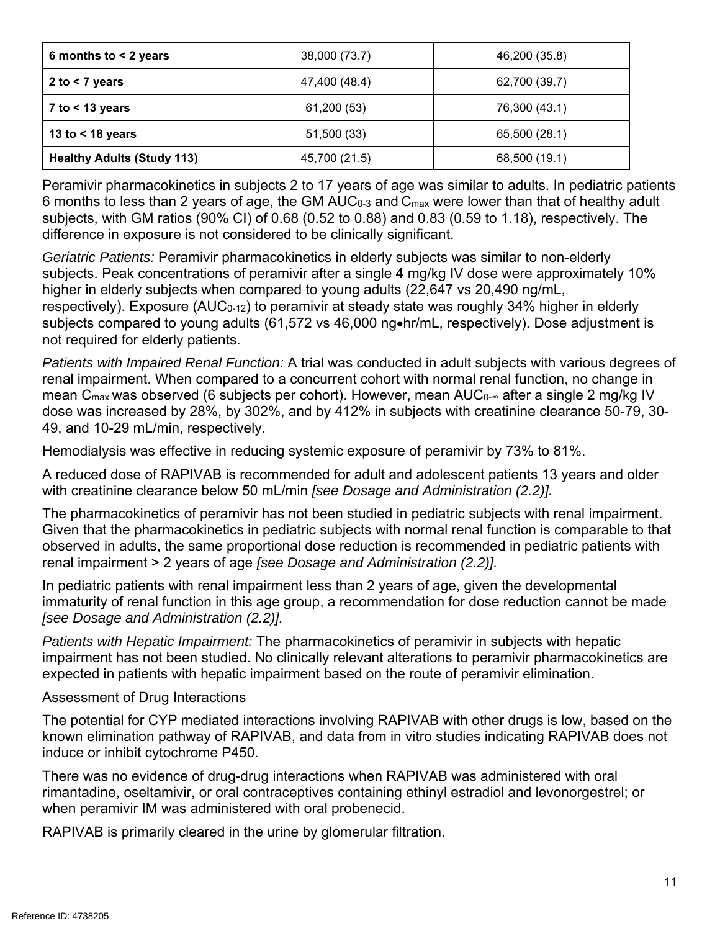| 6 months to $<$ 2 years<br>38,000 (73.7) |               | 46,200 (35.8) |
|------------------------------------------|---------------|---------------|
| 2 to $<$ 7 years                         | 47,400 (48.4) | 62,700 (39.7) |
| $7$ to $<$ 13 years                      | 61,200 (53)   | 76,300 (43.1) |
| 13 to $<$ 18 years                       | 51,500 (33)   | 65,500 (28.1) |
| <b>Healthy Adults (Study 113)</b>        | 45,700 (21.5) | 68,500 (19.1) |

Peramivir pharmacokinetics in subjects 2 to 17 years of age was similar to adults. In pediatric patients 6 months to less than 2 years of age, the GM  $AUC_{0-3}$  and  $C_{max}$  were lower than that of healthy adult subjects, with GM ratios (90% CI) of 0.68 (0.52 to 0.88) and 0.83 (0.59 to 1.18), respectively. The difference in exposure is not considered to be clinically significant.

*Geriatric Patients:* Peramivir pharmacokinetics in elderly subjects was similar to non-elderly subjects. Peak concentrations of peramivir after a single 4 mg/kg IV dose were approximately 10% higher in elderly subjects when compared to young adults (22,647 vs 20,490 ng/mL, respectively). Exposure (AUC $_{0-12}$ ) to peramivir at steady state was roughly 34% higher in elderly subjects compared to young adults (61,572 vs 46,000 ng•hr/mL, respectively). Dose adjustment is not required for elderly patients.

*Patients with Impaired Renal Function:* A trial was conducted in adult subjects with various degrees of renal impairment. When compared to a concurrent cohort with normal renal function, no change in mean C<sub>max</sub> was observed (6 subjects per cohort). However, mean AUC<sub>0</sub><sub>∞</sub> after a single 2 mg/kg IV dose was increased by 28%, by 302%, and by 412% in subjects with creatinine clearance 50-79, 30- 49, and 10-29 mL/min, respectively.

Hemodialysis was effective in reducing systemic exposure of peramivir by 73% to 81%.

A reduced dose of RAPIVAB is recommended for adult and adolescent patients 13 years and older with creatinine clearance below 50 mL/min *[see Dosage and Administration (2.2)].* 

The pharmacokinetics of peramivir has not been studied in pediatric subjects with renal impairment. Given that the pharmacokinetics in pediatric subjects with normal renal function is comparable to that observed in adults, the same proportional dose reduction is recommended in pediatric patients with renal impairment > 2 years of age *[see Dosage and Administration (2.2)].*

In pediatric patients with renal impairment less than 2 years of age, given the developmental immaturity of renal function in this age group, a recommendation for dose reduction cannot be made *[see Dosage and Administration (2.2)].*

*Patients with Hepatic Impairment:* The pharmacokinetics of peramivir in subjects with hepatic impairment has not been studied. No clinically relevant alterations to peramivir pharmacokinetics are expected in patients with hepatic impairment based on the route of peramivir elimination.

# Assessment of Drug Interactions

The potential for CYP mediated interactions involving RAPIVAB with other drugs is low, based on the known elimination pathway of RAPIVAB, and data from in vitro studies indicating RAPIVAB does not induce or inhibit cytochrome P450.

There was no evidence of drug-drug interactions when RAPIVAB was administered with oral rimantadine, oseltamivir, or oral contraceptives containing ethinyl estradiol and levonorgestrel; or when peramivir IM was administered with oral probenecid.

RAPIVAB is primarily cleared in the urine by glomerular filtration.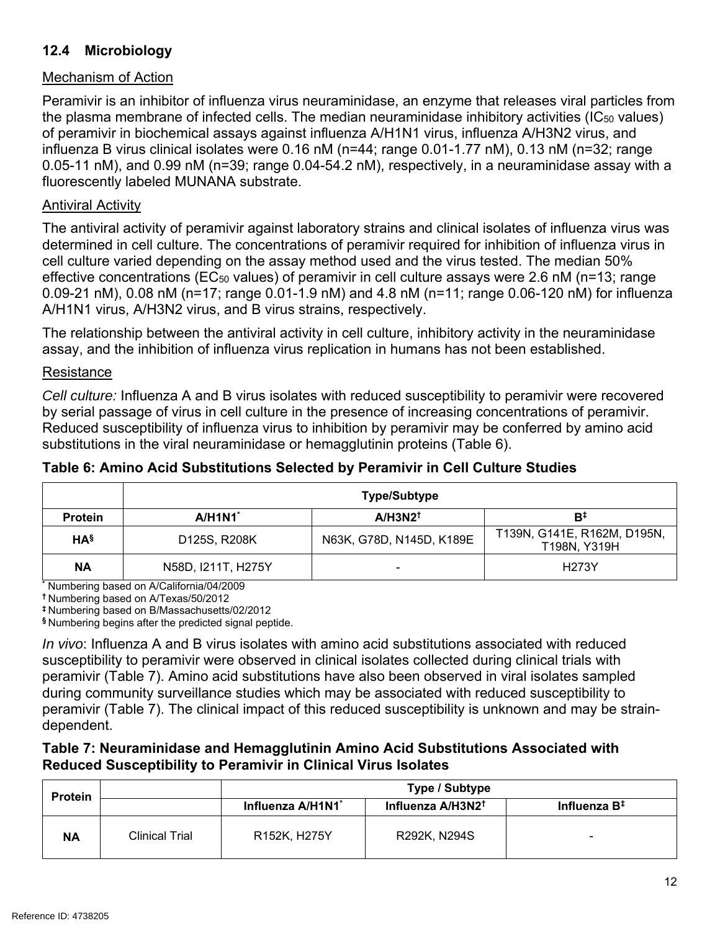# **12.4 Microbiology**

## Mechanism of Action

Peramivir is an inhibitor of influenza virus neuraminidase, an enzyme that releases viral particles from the plasma membrane of infected cells. The median neuraminidase inhibitory activities ( $IC_{50}$  values) of peramivir in biochemical assays against influenza A/H1N1 virus, influenza A/H3N2 virus, and influenza B virus clinical isolates were 0.16 nM (n=44; range 0.01-1.77 nM), 0.13 nM (n=32; range 0.05-11 nM), and 0.99 nM (n=39; range 0.04-54.2 nM), respectively, in a neuraminidase assay with a fluorescently labeled MUNANA substrate.

### Antiviral Activity

The antiviral activity of peramivir against laboratory strains and clinical isolates of influenza virus was determined in cell culture. The concentrations of peramivir required for inhibition of influenza virus in cell culture varied depending on the assay method used and the virus tested. The median 50% effective concentrations ( $EC_{50}$  values) of peramivir in cell culture assays were 2.6 nM ( $n=13$ ; range 0.09-21 nM), 0.08 nM (n=17; range 0.01-1.9 nM) and 4.8 nM (n=11; range 0.06-120 nM) for influenza A/H1N1 virus, A/H3N2 virus, and B virus strains, respectively.

The relationship between the antiviral activity in cell culture, inhibitory activity in the neuraminidase assay, and the inhibition of influenza virus replication in humans has not been established.

### Resistance

*Cell culture:* Influenza A and B virus isolates with reduced susceptibility to peramivir were recovered by serial passage of virus in cell culture in the presence of increasing concentrations of peramivir. Reduced susceptibility of influenza virus to inhibition by peramivir may be conferred by amino acid substitutions in the viral neuraminidase or hemagglutinin proteins (Table 6).

|                 | <b>Type/Subtype</b>                            |                          |                                             |  |
|-----------------|------------------------------------------------|--------------------------|---------------------------------------------|--|
| <b>Protein</b>  | A/H1N1<br>$A/H3N2^{\dagger}$<br>B <sup>‡</sup> |                          |                                             |  |
| HA <sup>§</sup> | D125S, R208K                                   | N63K, G78D, N145D, K189E | T139N, G141E, R162M, D195N,<br>T198N, Y319H |  |
| <b>NA</b>       | N58D, I211T, H275Y                             | -                        | H273Y                                       |  |

### **Table 6: Amino Acid Substitutions Selected by Peramivir in Cell Culture Studies**

**\*** Numbering based on A/California/04/2009

**†** Numbering based on A/Texas/50/2012

**‡** Numbering based on B/Massachusetts/02/2012

**§** Numbering begins after the predicted signal peptide.

*In vivo*: Influenza A and B virus isolates with amino acid substitutions associated with reduced susceptibility to peramivir were observed in clinical isolates collected during clinical trials with peramivir (Table 7). Amino acid substitutions have also been observed in viral isolates sampled during community surveillance studies which may be associated with reduced susceptibility to peramivir (Table 7). The clinical impact of this reduced susceptibility is unknown and may be straindependent.

### **Table 7: Neuraminidase and Hemagglutinin Amino Acid Substitutions Associated with Reduced Susceptibility to Peramivir in Clinical Virus Isolates**

| <b>Protein</b> |                | Type / Subtype    |                               |                          |
|----------------|----------------|-------------------|-------------------------------|--------------------------|
|                |                | Influenza A/H1N1* | Influenza A/H3N2 <sup>+</sup> | Influenza B <sup>‡</sup> |
| <b>NA</b>      | Clinical Trial | R152K, H275Y      | R292K, N294S                  | $\overline{\phantom{0}}$ |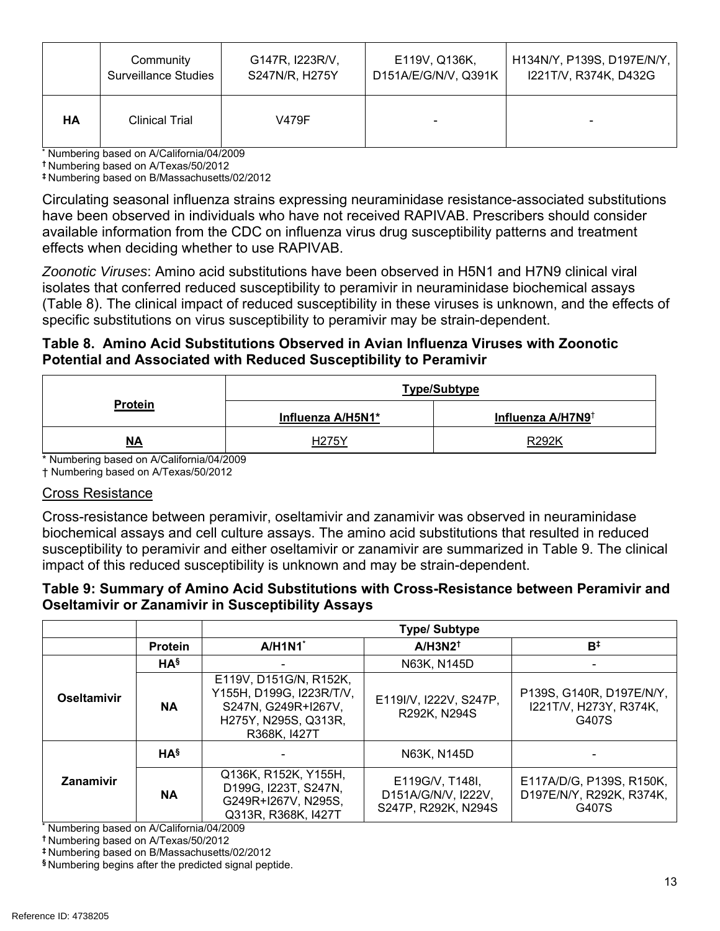|           | Community                   | G147R, I223R/V, | E119V, Q136K,        | H134N/Y, P139S, D197E/N/Y, |
|-----------|-----------------------------|-----------------|----------------------|----------------------------|
|           | <b>Surveillance Studies</b> | S247N/R, H275Y  | D151A/E/G/N/V, Q391K | I221T/V, R374K, D432G      |
| <b>HA</b> | <b>Clinical Trial</b>       | V479F           |                      | $\blacksquare$             |

**\*** Numbering based on A/California/04/2009

**†** Numbering based on A/Texas/50/2012

**‡** Numbering based on B/Massachusetts/02/2012

Circulating seasonal influenza strains expressing neuraminidase resistance-associated substitutions have been observed in individuals who have not received RAPIVAB. Prescribers should consider available information from the CDC on influenza virus drug susceptibility patterns and treatment effects when deciding whether to use RAPIVAB.

*Zoonotic Viruses*: Amino acid substitutions have been observed in H5N1 and H7N9 clinical viral isolates that conferred reduced susceptibility to peramivir in neuraminidase biochemical assays (Table 8). The clinical impact of reduced susceptibility in these viruses is unknown, and the effects of specific substitutions on virus susceptibility to peramivir may be strain-dependent.

### **Table 8. Amino Acid Substitutions Observed in Avian Influenza Viruses with Zoonotic Potential and Associated with Reduced Susceptibility to Peramivir**

| <b>Protein</b> | <b>Type/Subtype</b> |                               |  |
|----------------|---------------------|-------------------------------|--|
|                | Influenza A/H5N1*   | Influenza A/H7N9 <sup>†</sup> |  |
| <u>NA</u>      | H275Y               | R292K                         |  |

\* Numbering based on A/California/04/2009

† Numbering based on A/Texas/50/2012

### Cross Resistance

Cross-resistance between peramivir, oseltamivir and zanamivir was observed in neuraminidase biochemical assays and cell culture assays. The amino acid substitutions that resulted in reduced susceptibility to peramivir and either oseltamivir or zanamivir are summarized in Table 9. The clinical impact of this reduced susceptibility is unknown and may be strain-dependent.

### **Table 9: Summary of Amino Acid Substitutions with Cross-Resistance between Peramivir and Oseltamivir or Zanamivir in Susceptibility Assays**

|             |                 | <b>Type/Subtype</b>                                                                                               |                                                               |                                                               |
|-------------|-----------------|-------------------------------------------------------------------------------------------------------------------|---------------------------------------------------------------|---------------------------------------------------------------|
|             | <b>Protein</b>  | A/H1N1                                                                                                            | $A/H3N2^{\dagger}$                                            | B <sup>‡</sup>                                                |
| Oseltamivir | HA <sup>§</sup> |                                                                                                                   | N63K, N145D                                                   |                                                               |
|             | <b>NA</b>       | E119V, D151G/N, R152K,<br>Y155H, D199G, I223R/T/V,<br>S247N, G249R+I267V,<br>H275Y, N295S, Q313R,<br>R368K, 1427T | E119I/V, I222V, S247P,<br>R292K, N294S                        | P139S, G140R, D197E/N/Y,<br>I221T/V, H273Y, R374K,<br>G407S   |
| Zanamivir   | HA <sup>§</sup> |                                                                                                                   | N63K, N145D                                                   |                                                               |
|             | <b>NA</b>       | Q136K, R152K, Y155H,<br>D199G, I223T, S247N,<br>G249R+I267V, N295S,<br>Q313R, R368K, I427T                        | E119G/V, T148I,<br>D151A/G/N/V, I222V,<br>S247P, R292K, N294S | E117A/D/G, P139S, R150K,<br>D197E/N/Y, R292K, R374K,<br>G407S |

**\*** Numbering based on A/California/04/2009

**†** Numbering based on A/Texas/50/2012

**‡** Numbering based on B/Massachusetts/02/2012

**§** Numbering begins after the predicted signal peptide.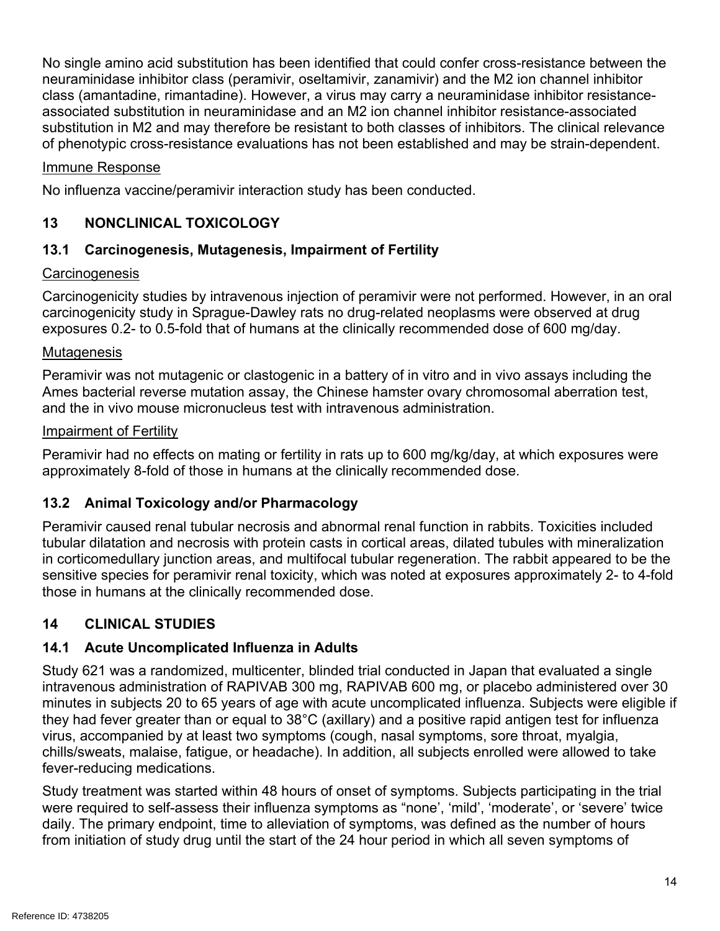No single amino acid substitution has been identified that could confer cross-resistance between the neuraminidase inhibitor class (peramivir, oseltamivir, zanamivir) and the M2 ion channel inhibitor class (amantadine, rimantadine). However, a virus may carry a neuraminidase inhibitor resistanceassociated substitution in neuraminidase and an M2 ion channel inhibitor resistance-associated substitution in M2 and may therefore be resistant to both classes of inhibitors. The clinical relevance of phenotypic cross-resistance evaluations has not been established and may be strain-dependent.

## Immune Response

No influenza vaccine/peramivir interaction study has been conducted.

# **13 NONCLINICAL TOXICOLOGY**

# **13.1 Carcinogenesis, Mutagenesis, Impairment of Fertility**

## **Carcinogenesis**

Carcinogenicity studies by intravenous injection of peramivir were not performed. However, in an oral carcinogenicity study in Sprague-Dawley rats no drug-related neoplasms were observed at drug exposures 0.2- to 0.5-fold that of humans at the clinically recommended dose of 600 mg/day.

## **Mutagenesis**

Peramivir was not mutagenic or clastogenic in a battery of in vitro and in vivo assays including the Ames bacterial reverse mutation assay, the Chinese hamster ovary chromosomal aberration test, and the in vivo mouse micronucleus test with intravenous administration.

## Impairment of Fertility

Peramivir had no effects on mating or fertility in rats up to 600 mg/kg/day, at which exposures were approximately 8-fold of those in humans at the clinically recommended dose.

# **13.2 Animal Toxicology and/or Pharmacology**

Peramivir caused renal tubular necrosis and abnormal renal function in rabbits. Toxicities included tubular dilatation and necrosis with protein casts in cortical areas, dilated tubules with mineralization in corticomedullary junction areas, and multifocal tubular regeneration. The rabbit appeared to be the sensitive species for peramivir renal toxicity, which was noted at exposures approximately 2- to 4-fold those in humans at the clinically recommended dose.

# **14 CLINICAL STUDIES**

# **14.1 Acute Uncomplicated Influenza in Adults**

Study 621 was a randomized, multicenter, blinded trial conducted in Japan that evaluated a single intravenous administration of RAPIVAB 300 mg, RAPIVAB 600 mg, or placebo administered over 30 minutes in subjects 20 to 65 years of age with acute uncomplicated influenza. Subjects were eligible if they had fever greater than or equal to 38°C (axillary) and a positive rapid antigen test for influenza virus, accompanied by at least two symptoms (cough, nasal symptoms, sore throat, myalgia, chills/sweats, malaise, fatigue, or headache). In addition, all subjects enrolled were allowed to take fever-reducing medications.

Study treatment was started within 48 hours of onset of symptoms. Subjects participating in the trial were required to self-assess their influenza symptoms as "none', 'mild', 'moderate', or 'severe' twice daily. The primary endpoint, time to alleviation of symptoms, was defined as the number of hours from initiation of study drug until the start of the 24 hour period in which all seven symptoms of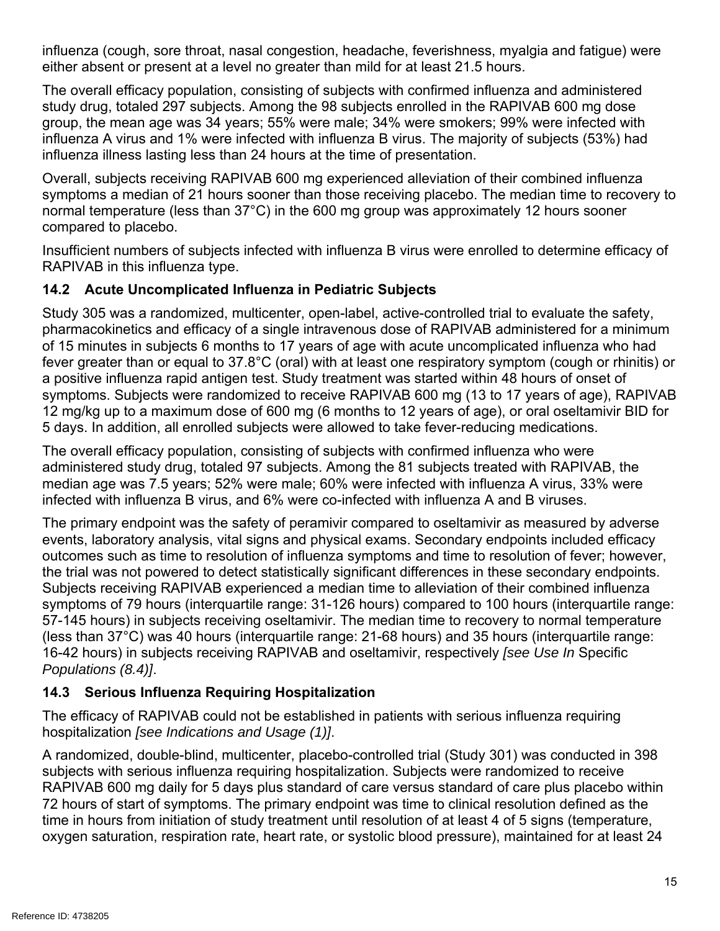influenza (cough, sore throat, nasal congestion, headache, feverishness, myalgia and fatigue) were either absent or present at a level no greater than mild for at least 21.5 hours.

The overall efficacy population, consisting of subjects with confirmed influenza and administered study drug, totaled 297 subjects. Among the 98 subjects enrolled in the RAPIVAB 600 mg dose group, the mean age was 34 years; 55% were male; 34% were smokers; 99% were infected with influenza A virus and 1% were infected with influenza B virus. The majority of subjects (53%) had influenza illness lasting less than 24 hours at the time of presentation.

Overall, subjects receiving RAPIVAB 600 mg experienced alleviation of their combined influenza symptoms a median of 21 hours sooner than those receiving placebo. The median time to recovery to normal temperature (less than 37°C) in the 600 mg group was approximately 12 hours sooner compared to placebo.

Insufficient numbers of subjects infected with influenza B virus were enrolled to determine efficacy of RAPIVAB in this influenza type.

# **14.2 Acute Uncomplicated Influenza in Pediatric Subjects**

Study 305 was a randomized, multicenter, open-label, active-controlled trial to evaluate the safety, pharmacokinetics and efficacy of a single intravenous dose of RAPIVAB administered for a minimum of 15 minutes in subjects 6 months to 17 years of age with acute uncomplicated influenza who had fever greater than or equal to 37.8°C (oral) with at least one respiratory symptom (cough or rhinitis) or a positive influenza rapid antigen test. Study treatment was started within 48 hours of onset of symptoms. Subjects were randomized to receive RAPIVAB 600 mg (13 to 17 years of age), RAPIVAB 12 mg/kg up to a maximum dose of 600 mg (6 months to 12 years of age), or oral oseltamivir BID for 5 days. In addition, all enrolled subjects were allowed to take fever-reducing medications.

The overall efficacy population, consisting of subjects with confirmed influenza who were administered study drug, totaled 97 subjects. Among the 81 subjects treated with RAPIVAB, the median age was 7.5 years; 52% were male; 60% were infected with influenza A virus, 33% were infected with influenza B virus, and 6% were co-infected with influenza A and B viruses.

The primary endpoint was the safety of peramivir compared to oseltamivir as measured by adverse events, laboratory analysis, vital signs and physical exams. Secondary endpoints included efficacy outcomes such as time to resolution of influenza symptoms and time to resolution of fever; however, the trial was not powered to detect statistically significant differences in these secondary endpoints. Subjects receiving RAPIVAB experienced a median time to alleviation of their combined influenza symptoms of 79 hours (interquartile range: 31-126 hours) compared to 100 hours (interquartile range: 57-145 hours) in subjects receiving oseltamivir. The median time to recovery to normal temperature (less than 37°C) was 40 hours (interquartile range: 21-68 hours) and 35 hours (interquartile range: 16-42 hours) in subjects receiving RAPIVAB and oseltamivir, respectively *[see Use In* Specific *Populations (8.4)]*.

# **14.3 Serious Influenza Requiring Hospitalization**

The efficacy of RAPIVAB could not be established in patients with serious influenza requiring hospitalization *[see Indications and Usage (1)]*.

A randomized, double-blind, multicenter, placebo-controlled trial (Study 301) was conducted in 398 subjects with serious influenza requiring hospitalization. Subjects were randomized to receive RAPIVAB 600 mg daily for 5 days plus standard of care versus standard of care plus placebo within 72 hours of start of symptoms. The primary endpoint was time to clinical resolution defined as the time in hours from initiation of study treatment until resolution of at least 4 of 5 signs (temperature, oxygen saturation, respiration rate, heart rate, or systolic blood pressure), maintained for at least 24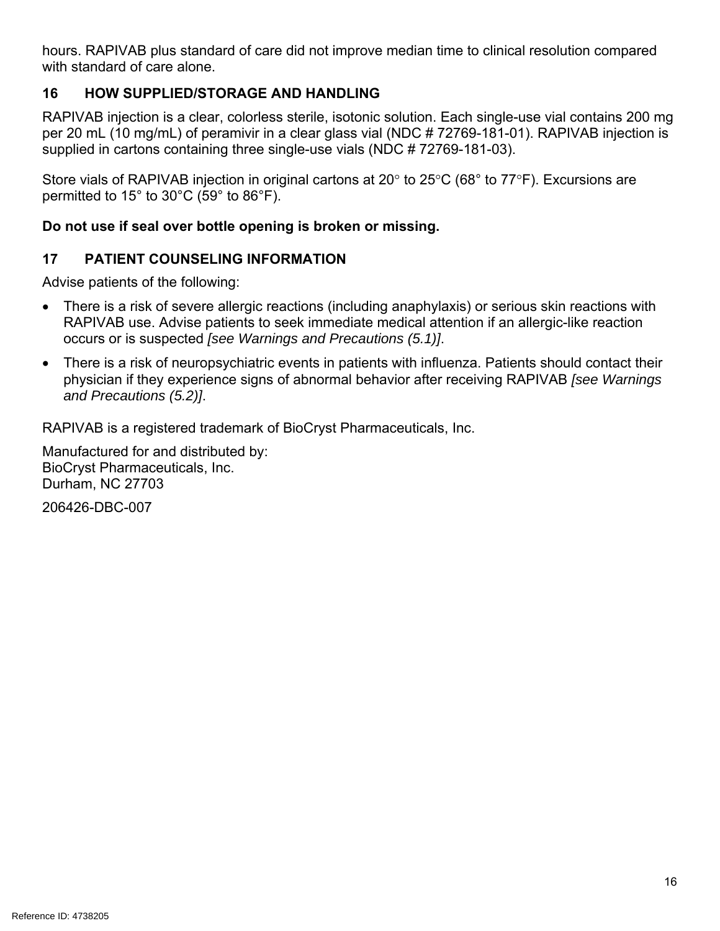hours. RAPIVAB plus standard of care did not improve median time to clinical resolution compared with standard of care alone.

# **16 HOW SUPPLIED/STORAGE AND HANDLING**

RAPIVAB injection is a clear, colorless sterile, isotonic solution. Each single-use vial contains 200 mg per 20 mL (10 mg/mL) of peramivir in a clear glass vial (NDC # 72769-181-01). RAPIVAB injection is supplied in cartons containing three single-use vials (NDC # 72769-181-03).

Store vials of RAPIVAB injection in original cartons at 20° to 25°C (68° to 77°F). Excursions are permitted to 15° to 30°C (59° to 86°F).

# **Do not use if seal over bottle opening is broken or missing.**

# **17 PATIENT COUNSELING INFORMATION**

Advise patients of the following:

- There is a risk of severe allergic reactions (including anaphylaxis) or serious skin reactions with RAPIVAB use. Advise patients to seek immediate medical attention if an allergic-like reaction occurs or is suspected *[see Warnings and Precautions (5.1)]*.
- There is a risk of neuropsychiatric events in patients with influenza. Patients should contact their physician if they experience signs of abnormal behavior after receiving RAPIVAB *[see Warnings and Precautions (5.2)]*.

RAPIVAB is a registered trademark of BioCryst Pharmaceuticals, Inc.

Manufactured for and distributed by: BioCryst Pharmaceuticals, Inc. Durham, NC 27703

206426-DBC-007